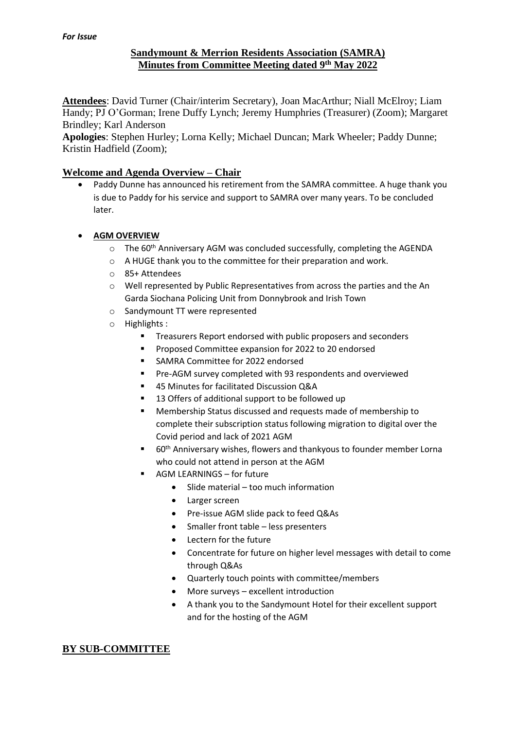# **Sandymount & Merrion Residents Association (SAMRA) Minutes from Committee Meeting dated 9 th May 2022**

**Attendees**: David Turner (Chair/interim Secretary), Joan MacArthur; Niall McElroy; Liam Handy; PJ O'Gorman; Irene Duffy Lynch; Jeremy Humphries (Treasurer) (Zoom); Margaret Brindley; Karl Anderson

**Apologies**: Stephen Hurley; Lorna Kelly; Michael Duncan; Mark Wheeler; Paddy Dunne; Kristin Hadfield (Zoom);

# **Welcome and Agenda Overview – Chair**

• Paddy Dunne has announced his retirement from the SAMRA committee. A huge thank you is due to Paddy for his service and support to SAMRA over many years. To be concluded later.

#### • **AGM OVERVIEW**

- $\circ$  The 60<sup>th</sup> Anniversary AGM was concluded successfully, completing the AGENDA
- o A HUGE thank you to the committee for their preparation and work.
- o 85+ Attendees
- o Well represented by Public Representatives from across the parties and the An Garda Siochana Policing Unit from Donnybrook and Irish Town
- o Sandymount TT were represented
- o Highlights :
	- Treasurers Report endorsed with public proposers and seconders
	- Proposed Committee expansion for 2022 to 20 endorsed
	- SAMRA Committee for 2022 endorsed
	- Pre-AGM survey completed with 93 respondents and overviewed
	- 45 Minutes for facilitated Discussion Q&A
	- 13 Offers of additional support to be followed up
	- Membership Status discussed and requests made of membership to complete their subscription status following migration to digital over the Covid period and lack of 2021 AGM
	- 60<sup>th</sup> Anniversary wishes, flowers and thankyous to founder member Lorna who could not attend in person at the AGM
	- AGM LEARNINGS for future
		- Slide material too much information
		- Larger screen
		- Pre-issue AGM slide pack to feed Q&As
		- Smaller front table less presenters
		- Lectern for the future
		- Concentrate for future on higher level messages with detail to come through Q&As
		- Quarterly touch points with committee/members
		- More surveys excellent introduction
		- A thank you to the Sandymount Hotel for their excellent support and for the hosting of the AGM

# **BY SUB-COMMITTEE**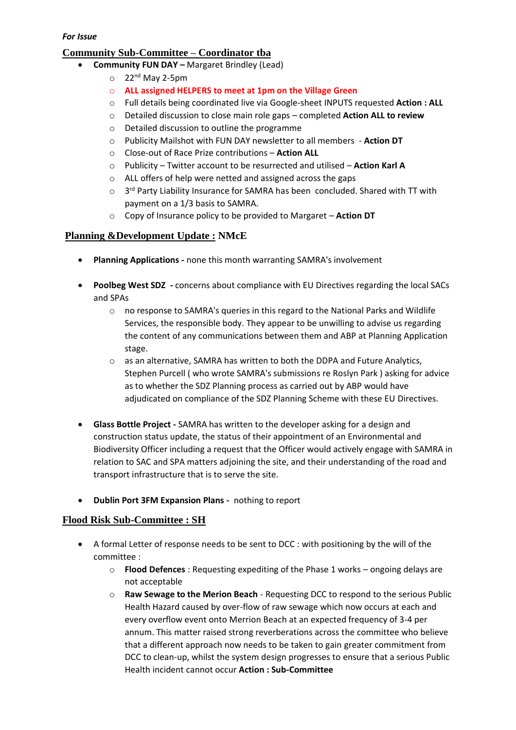## **Community Sub-Committee – Coordinator tba**

- **Community FUN DAY –** Margaret Brindley (Lead)
	- $\circ$  22<sup>nd</sup> May 2-5pm
	- o **ALL assigned HELPERS to meet at 1pm on the Village Green**
	- o Full details being coordinated live via Google-sheet INPUTS requested **Action : ALL**
	- o Detailed discussion to close main role gaps completed **Action ALL to review**
	- o Detailed discussion to outline the programme
	- o Publicity Mailshot with FUN DAY newsletter to all members **Action DT**
	- o Close-out of Race Prize contributions **Action ALL**
	- o Publicity Twitter account to be resurrected and utilised **Action Karl A**
	- o ALL offers of help were netted and assigned across the gaps
	- $\circ$  3<sup>rd</sup> Party Liability Insurance for SAMRA has been concluded. Shared with TT with payment on a 1/3 basis to SAMRA.
	- o Copy of Insurance policy to be provided to Margaret **Action DT**

#### **Planning &Development Update : NMcE**

- **Planning Applications -** none this month warranting SAMRA's involvement
- **Poolbeg West SDZ -** concerns about compliance with EU Directives regarding the local SACs and SPAs
	- o no response to SAMRA's queries in this regard to the National Parks and Wildlife Services, the responsible body. They appear to be unwilling to advise us regarding the content of any communications between them and ABP at Planning Application stage.
	- o as an alternative, SAMRA has written to both the DDPA and Future Analytics, Stephen Purcell ( who wrote SAMRA's submissions re Roslyn Park ) asking for advice as to whether the SDZ Planning process as carried out by ABP would have adjudicated on compliance of the SDZ Planning Scheme with these EU Directives.
- **Glass Bottle Project -** SAMRA has written to the developer asking for a design and construction status update, the status of their appointment of an Environmental and Biodiversity Officer including a request that the Officer would actively engage with SAMRA in relation to SAC and SPA matters adjoining the site, and their understanding of the road and transport infrastructure that is to serve the site.
- **Dublin Port 3FM Expansion Plans -** nothing to report

#### **Flood Risk Sub-Committee : SH**

- A formal Letter of response needs to be sent to DCC : with positioning by the will of the committee :
	- o **Flood Defences** : Requesting expediting of the Phase 1 works ongoing delays are not acceptable
	- o **Raw Sewage to the Merion Beach** Requesting DCC to respond to the serious Public Health Hazard caused by over-flow of raw sewage which now occurs at each and every overflow event onto Merrion Beach at an expected frequency of 3-4 per annum. This matter raised strong reverberations across the committee who believe that a different approach now needs to be taken to gain greater commitment from DCC to clean-up, whilst the system design progresses to ensure that a serious Public Health incident cannot occur **Action : Sub-Committee**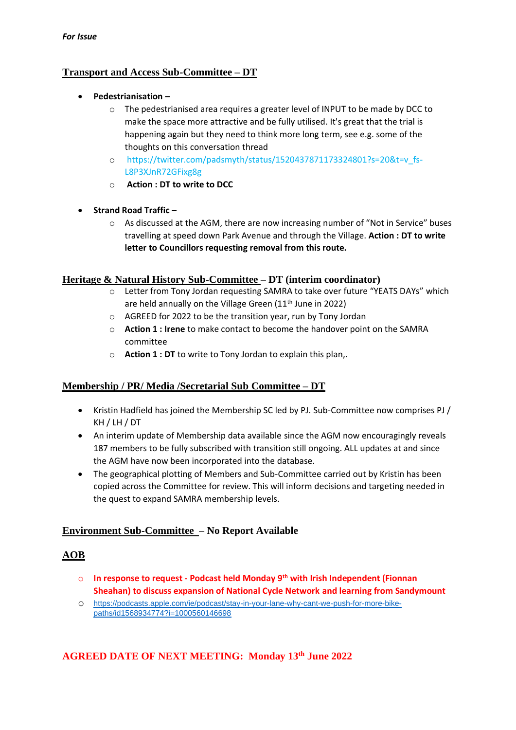## **Transport and Access Sub-Committee – DT**

- **Pedestrianisation –**
	- o The pedestrianised area requires a greater level of INPUT to be made by DCC to make the space more attractive and be fully utilised. It's great that the trial is happening again but they need to think more long term, see e.g. some of the thoughts on this conversation thread
	- o [https://twitter.com/padsmyth/status/1520437871173324801?s=20&t=v\\_fs-](https://twitter.com/padsmyth/status/1520437871173324801?s=20&t=v_fs-L8P3XJnR72GFixg8g)[L8P3XJnR72GFixg8g](https://twitter.com/padsmyth/status/1520437871173324801?s=20&t=v_fs-L8P3XJnR72GFixg8g)
	- o **Action : DT to write to DCC**
- **Strand Road Traffic –**
	- o As discussed at the AGM, there are now increasing number of "Not in Service" buses travelling at speed down Park Avenue and through the Village. **Action : DT to write letter to Councillors requesting removal from this route.**

#### **Heritage & Natural History Sub-Committee – DT (interim coordinator)**

- o Letter from Tony Jordan requesting SAMRA to take over future "YEATS DAYs" which are held annually on the Village Green  $(11<sup>th</sup>)$  June in 2022)
- o AGREED for 2022 to be the transition year, run by Tony Jordan
- o **Action 1 : Irene** to make contact to become the handover point on the SAMRA committee
- o **Action 1 : DT** to write to Tony Jordan to explain this plan,.

# **Membership / PR/ Media /Secretarial Sub Committee – DT**

- Kristin Hadfield has joined the Membership SC led by PJ. Sub-Committee now comprises PJ / KH / LH / DT
- An interim update of Membership data available since the AGM now encouragingly reveals 187 members to be fully subscribed with transition still ongoing. ALL updates at and since the AGM have now been incorporated into the database.
- The geographical plotting of Members and Sub-Committee carried out by Kristin has been copied across the Committee for review. This will inform decisions and targeting needed in the quest to expand SAMRA membership levels.

# **Environment Sub-Committee – No Report Available**

# **AOB**

- o **In response to request - Podcast held Monday 9th with Irish Independent (Fionnan Sheahan) to discuss expansion of National Cycle Network and learning from Sandymount**
- o [https://podcasts.apple.com/ie/podcast/stay-in-your-lane-why-cant-we-push-for-more-bike](https://podcasts.apple.com/ie/podcast/stay-in-your-lane-why-cant-we-push-for-more-bike-paths/id1568934774?i=1000560146698)[paths/id1568934774?i=1000560146698](https://podcasts.apple.com/ie/podcast/stay-in-your-lane-why-cant-we-push-for-more-bike-paths/id1568934774?i=1000560146698)

# **AGREED DATE OF NEXT MEETING: Monday 13th June 2022**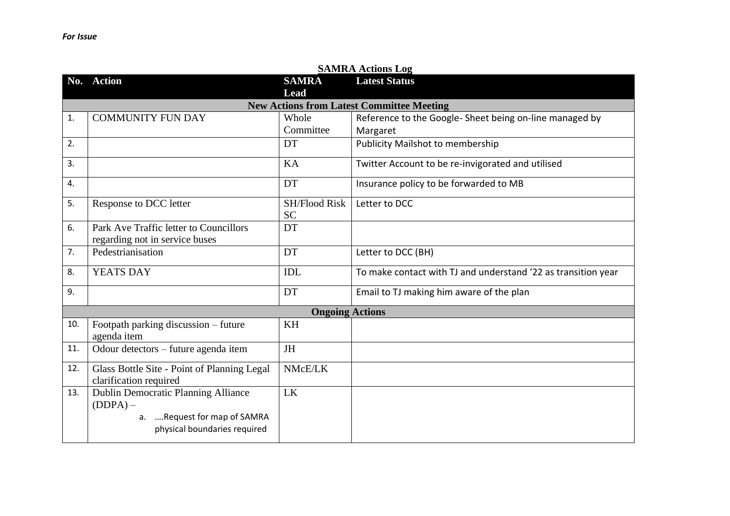|     | <b>SAMRA Actions Log</b>                    |                        |                                                               |  |  |
|-----|---------------------------------------------|------------------------|---------------------------------------------------------------|--|--|
| No. | <b>Action</b>                               | <b>SAMRA</b>           | <b>Latest Status</b>                                          |  |  |
|     |                                             | Lead                   |                                                               |  |  |
|     |                                             |                        | <b>New Actions from Latest Committee Meeting</b>              |  |  |
| 1.  | <b>COMMUNITY FUN DAY</b>                    | Whole                  | Reference to the Google- Sheet being on-line managed by       |  |  |
|     |                                             | Committee              | Margaret                                                      |  |  |
| 2.  |                                             | DT                     | <b>Publicity Mailshot to membership</b>                       |  |  |
| 3.  |                                             | KA                     | Twitter Account to be re-invigorated and utilised             |  |  |
| 4.  |                                             | DT                     | Insurance policy to be forwarded to MB                        |  |  |
| 5.  | Response to DCC letter                      | <b>SH/Flood Risk</b>   | Letter to DCC                                                 |  |  |
|     |                                             | <b>SC</b>              |                                                               |  |  |
| 6.  | Park Ave Traffic letter to Councillors      | DT                     |                                                               |  |  |
|     | regarding not in service buses              |                        |                                                               |  |  |
| 7.  | Pedestrianisation                           | DT                     | Letter to DCC (BH)                                            |  |  |
| 8.  | YEATS DAY                                   | <b>IDL</b>             | To make contact with TJ and understand '22 as transition year |  |  |
| 9.  |                                             | DT                     | Email to TJ making him aware of the plan                      |  |  |
|     |                                             | <b>Ongoing Actions</b> |                                                               |  |  |
| 10. | Footpath parking discussion - future        | KH                     |                                                               |  |  |
|     | agenda item                                 |                        |                                                               |  |  |
| 11. | Odour detectors - future agenda item        | <b>JH</b>              |                                                               |  |  |
| 12. | Glass Bottle Site - Point of Planning Legal | NMcE/LK                |                                                               |  |  |
|     | clarification required                      |                        |                                                               |  |  |
| 13. | Dublin Democratic Planning Alliance         | LK                     |                                                               |  |  |
|     | $(DDPA)$ –                                  |                        |                                                               |  |  |
|     | a. Request for map of SAMRA                 |                        |                                                               |  |  |
|     | physical boundaries required                |                        |                                                               |  |  |
|     |                                             |                        |                                                               |  |  |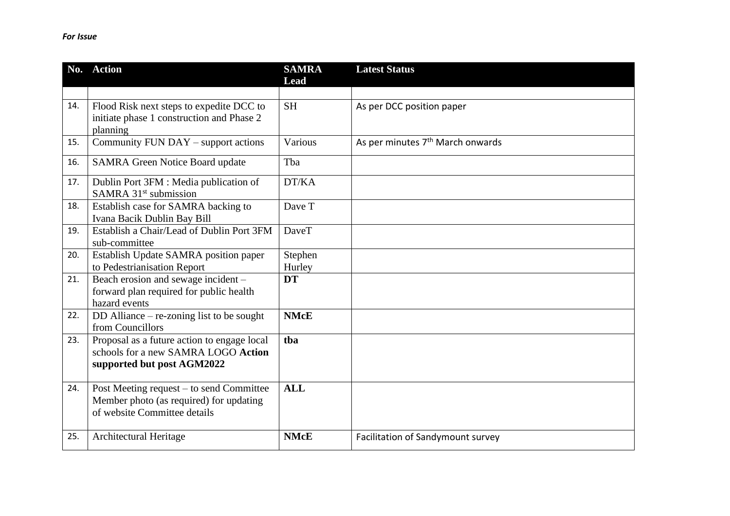|     | No. Action                                                                  | <b>SAMRA</b><br><b>Lead</b> | <b>Latest Status</b>                         |
|-----|-----------------------------------------------------------------------------|-----------------------------|----------------------------------------------|
|     |                                                                             |                             |                                              |
| 14. | Flood Risk next steps to expedite DCC to                                    | <b>SH</b>                   | As per DCC position paper                    |
|     | initiate phase 1 construction and Phase 2                                   |                             |                                              |
|     | planning                                                                    |                             |                                              |
| 15. | Community FUN DAY - support actions                                         | Various                     | As per minutes 7 <sup>th</sup> March onwards |
| 16. | <b>SAMRA Green Notice Board update</b>                                      | Tba                         |                                              |
| 17. | Dublin Port 3FM : Media publication of<br>SAMRA 31 <sup>st</sup> submission | DT/KA                       |                                              |
|     |                                                                             |                             |                                              |
| 18. | Establish case for SAMRA backing to<br>Ivana Bacik Dublin Bay Bill          | Dave T                      |                                              |
| 19. | Establish a Chair/Lead of Dublin Port 3FM                                   | <b>DaveT</b>                |                                              |
|     | sub-committee                                                               |                             |                                              |
| 20. | Establish Update SAMRA position paper                                       | Stephen                     |                                              |
|     | to Pedestrianisation Report                                                 | Hurley                      |                                              |
| 21. | Beach erosion and sewage incident -                                         | <b>DT</b>                   |                                              |
|     | forward plan required for public health                                     |                             |                                              |
|     | hazard events                                                               |                             |                                              |
| 22. | DD Alliance $-$ re-zoning list to be sought                                 | <b>NMcE</b>                 |                                              |
|     | from Councillors                                                            |                             |                                              |
| 23. | Proposal as a future action to engage local                                 | tba                         |                                              |
|     | schools for a new SAMRA LOGO Action                                         |                             |                                              |
|     | supported but post AGM2022                                                  |                             |                                              |
| 24. | Post Meeting request – to send Committee                                    | <b>ALL</b>                  |                                              |
|     | Member photo (as required) for updating                                     |                             |                                              |
|     | of website Committee details                                                |                             |                                              |
|     |                                                                             |                             |                                              |
| 25. | Architectural Heritage                                                      | <b>NMcE</b>                 | Facilitation of Sandymount survey            |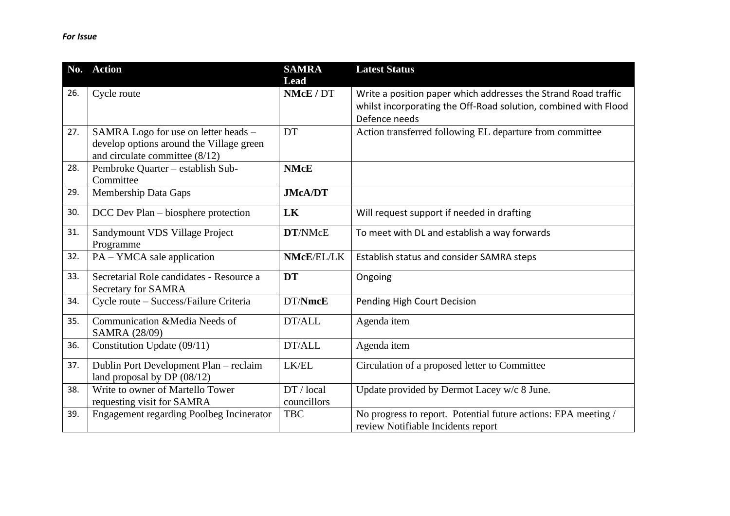|     | No. Action                                                                                                           | <b>SAMRA</b><br>Lead      | <b>Latest Status</b>                                                                                                                               |
|-----|----------------------------------------------------------------------------------------------------------------------|---------------------------|----------------------------------------------------------------------------------------------------------------------------------------------------|
| 26. | Cycle route                                                                                                          | NMcE / DT                 | Write a position paper which addresses the Strand Road traffic<br>whilst incorporating the Off-Road solution, combined with Flood<br>Defence needs |
| 27. | SAMRA Logo for use on letter heads -<br>develop options around the Village green<br>and circulate committee $(8/12)$ | DT                        | Action transferred following EL departure from committee                                                                                           |
| 28. | Pembroke Quarter - establish Sub-<br>Committee                                                                       | <b>NMcE</b>               |                                                                                                                                                    |
| 29. | Membership Data Gaps                                                                                                 | <b>JMcA/DT</b>            |                                                                                                                                                    |
| 30. | DCC Dev Plan – biosphere protection                                                                                  | LK                        | Will request support if needed in drafting                                                                                                         |
| 31. | Sandymount VDS Village Project<br>Programme                                                                          | DT/NMcE                   | To meet with DL and establish a way forwards                                                                                                       |
| 32. | PA – YMCA sale application                                                                                           | NMcE/EL/LK                | Establish status and consider SAMRA steps                                                                                                          |
| 33. | Secretarial Role candidates - Resource a<br>Secretary for SAMRA                                                      | <b>DT</b>                 | Ongoing                                                                                                                                            |
| 34. | Cycle route - Success/Failure Criteria                                                                               | DT/NmcE                   | Pending High Court Decision                                                                                                                        |
| 35. | Communication &Media Needs of<br>SAMRA (28/09)                                                                       | DT/ALL                    | Agenda item                                                                                                                                        |
| 36. | Constitution Update (09/11)                                                                                          | DT/ALL                    | Agenda item                                                                                                                                        |
| 37. | Dublin Port Development Plan - reclaim<br>land proposal by DP $(08/12)$                                              | LK/EL                     | Circulation of a proposed letter to Committee                                                                                                      |
| 38. | Write to owner of Martello Tower<br>requesting visit for SAMRA                                                       | DT / local<br>councillors | Update provided by Dermot Lacey w/c 8 June.                                                                                                        |
| 39. | <b>Engagement regarding Poolbeg Incinerator</b>                                                                      | <b>TBC</b>                | No progress to report. Potential future actions: EPA meeting /<br>review Notifiable Incidents report                                               |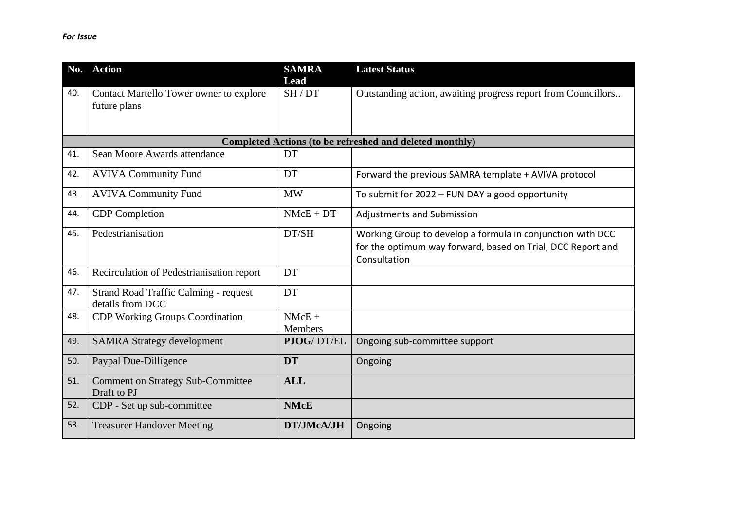|     | No. Action                                                       | <b>SAMRA</b><br>Lead       | <b>Latest Status</b>                                                                                                                      |
|-----|------------------------------------------------------------------|----------------------------|-------------------------------------------------------------------------------------------------------------------------------------------|
| 40. | Contact Martello Tower owner to explore<br>future plans          | SH/DT                      | Outstanding action, awaiting progress report from Councillors                                                                             |
|     |                                                                  |                            | <b>Completed Actions (to be refreshed and deleted monthly)</b>                                                                            |
| 41. | Sean Moore Awards attendance                                     | DT                         |                                                                                                                                           |
| 42. | <b>AVIVA Community Fund</b>                                      | DT                         | Forward the previous SAMRA template + AVIVA protocol                                                                                      |
| 43. | <b>AVIVA Community Fund</b>                                      | <b>MW</b>                  | To submit for 2022 - FUN DAY a good opportunity                                                                                           |
| 44. | <b>CDP</b> Completion                                            | $NMcE + DT$                | <b>Adjustments and Submission</b>                                                                                                         |
| 45. | Pedestrianisation                                                | DT/SH                      | Working Group to develop a formula in conjunction with DCC<br>for the optimum way forward, based on Trial, DCC Report and<br>Consultation |
| 46. | Recirculation of Pedestrianisation report                        | DT                         |                                                                                                                                           |
| 47. | <b>Strand Road Traffic Calming - request</b><br>details from DCC | DT                         |                                                                                                                                           |
| 48. | <b>CDP Working Groups Coordination</b>                           | $NMcE +$<br><b>Members</b> |                                                                                                                                           |
| 49. | <b>SAMRA Strategy development</b>                                | PJOG/DT/EL                 | Ongoing sub-committee support                                                                                                             |
| 50. | Paypal Due-Dilligence                                            | <b>DT</b>                  | Ongoing                                                                                                                                   |
| 51. | <b>Comment on Strategy Sub-Committee</b><br>Draft to PJ          | <b>ALL</b>                 |                                                                                                                                           |
| 52. | CDP - Set up sub-committee                                       | <b>NMcE</b>                |                                                                                                                                           |
| 53. | <b>Treasurer Handover Meeting</b>                                | DT/JMcA/JH                 | Ongoing                                                                                                                                   |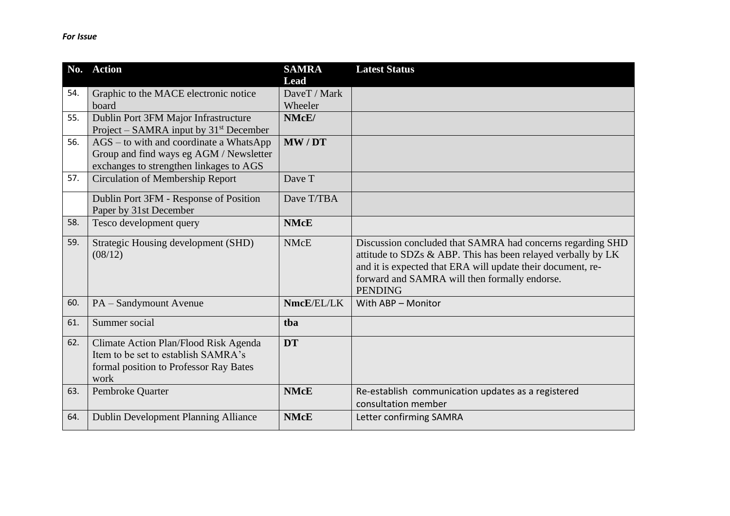| No. | <b>Action</b>                                      | <b>SAMRA</b> | <b>Latest Status</b>                                         |
|-----|----------------------------------------------------|--------------|--------------------------------------------------------------|
|     |                                                    | Lead         |                                                              |
| 54. | Graphic to the MACE electronic notice              | DaveT / Mark |                                                              |
|     | board                                              | Wheeler      |                                                              |
| 55. | Dublin Port 3FM Major Infrastructure               | NMcE/        |                                                              |
|     | Project – SAMRA input by 31 <sup>st</sup> December |              |                                                              |
| 56. | AGS – to with and coordinate a WhatsApp            | MW/DT        |                                                              |
|     | Group and find ways eg AGM / Newsletter            |              |                                                              |
|     | exchanges to strengthen linkages to AGS            |              |                                                              |
| 57. | <b>Circulation of Membership Report</b>            | Dave T       |                                                              |
|     | Dublin Port 3FM - Response of Position             | Dave T/TBA   |                                                              |
|     | Paper by 31st December                             |              |                                                              |
| 58. | Tesco development query                            | <b>NMcE</b>  |                                                              |
| 59. | Strategic Housing development (SHD)                | <b>NMcE</b>  | Discussion concluded that SAMRA had concerns regarding SHD   |
|     | (08/12)                                            |              | attitude to SDZs & ABP. This has been relayed verbally by LK |
|     |                                                    |              | and it is expected that ERA will update their document, re-  |
|     |                                                    |              | forward and SAMRA will then formally endorse.                |
|     |                                                    |              | <b>PENDING</b>                                               |
| 60. | PA - Sandymount Avenue                             | NmcE/EL/LK   | With ABP - Monitor                                           |
| 61. | Summer social                                      | tba          |                                                              |
| 62. | Climate Action Plan/Flood Risk Agenda              | <b>DT</b>    |                                                              |
|     | Item to be set to establish SAMRA's                |              |                                                              |
|     | formal position to Professor Ray Bates             |              |                                                              |
|     | work                                               |              |                                                              |
| 63. | Pembroke Quarter                                   | <b>NMcE</b>  | Re-establish communication updates as a registered           |
|     |                                                    |              | consultation member                                          |
| 64. | <b>Dublin Development Planning Alliance</b>        | <b>NMcE</b>  | Letter confirming SAMRA                                      |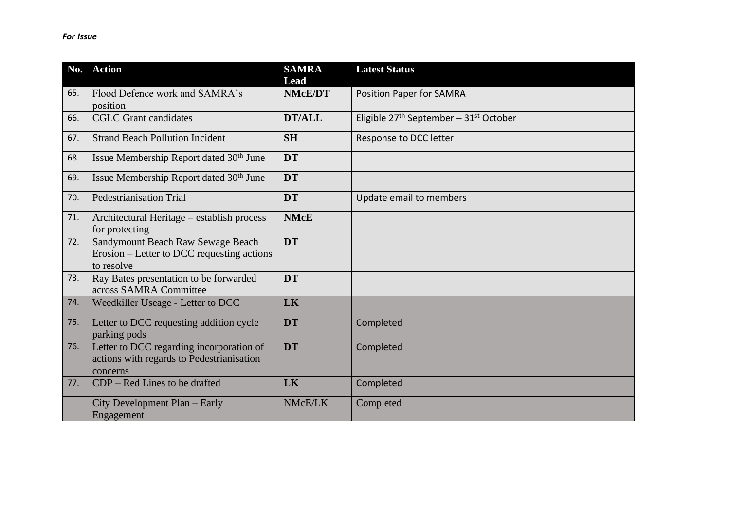|     | No. Action                                                                                        | <b>SAMRA</b><br>Lead | <b>Latest Status</b>                       |
|-----|---------------------------------------------------------------------------------------------------|----------------------|--------------------------------------------|
| 65. | Flood Defence work and SAMRA's<br>position                                                        | <b>NMcE/DT</b>       | <b>Position Paper for SAMRA</b>            |
| 66. | <b>CGLC</b> Grant candidates                                                                      | <b>DT/ALL</b>        | Eligible $27th$ September – $31st$ October |
| 67. | <b>Strand Beach Pollution Incident</b>                                                            | <b>SH</b>            | Response to DCC letter                     |
| 68. | Issue Membership Report dated 30 <sup>th</sup> June                                               | <b>DT</b>            |                                            |
| 69. | Issue Membership Report dated 30 <sup>th</sup> June                                               | <b>DT</b>            |                                            |
| 70. | <b>Pedestrianisation Trial</b>                                                                    | <b>DT</b>            | Update email to members                    |
| 71. | Architectural Heritage - establish process<br>for protecting                                      | <b>NMcE</b>          |                                            |
| 72. | Sandymount Beach Raw Sewage Beach<br>Erosion – Letter to DCC requesting actions<br>to resolve     | <b>DT</b>            |                                            |
| 73. | Ray Bates presentation to be forwarded<br>across SAMRA Committee                                  | <b>DT</b>            |                                            |
| 74. | Weedkiller Useage - Letter to DCC                                                                 | LK                   |                                            |
| 75. | Letter to DCC requesting addition cycle<br>parking pods                                           | <b>DT</b>            | Completed                                  |
| 76. | Letter to DCC regarding incorporation of<br>actions with regards to Pedestrianisation<br>concerns | <b>DT</b>            | Completed                                  |
| 77. | $CDP - Red Lines$ to be drafted                                                                   | LK                   | Completed                                  |
|     | City Development Plan - Early<br>Engagement                                                       | NMcE/LK              | Completed                                  |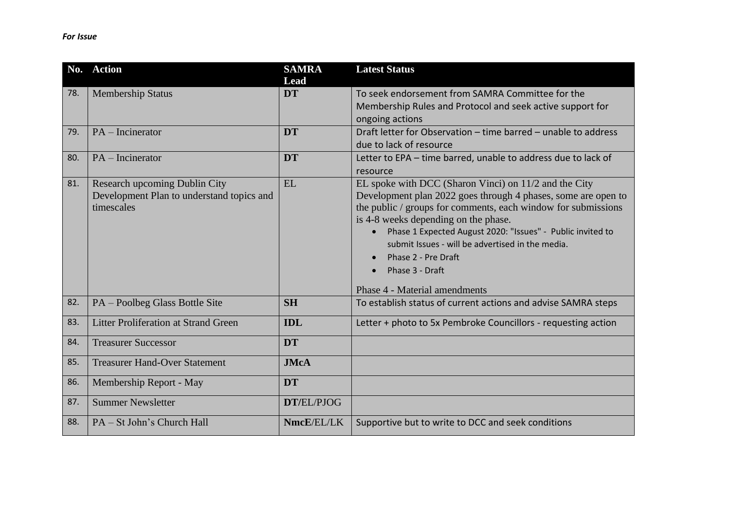|     | No. Action                                                                                      | <b>SAMRA</b><br>Lead | <b>Latest Status</b>                                                                                                                                                                                                                                                                                                                                                                                                         |
|-----|-------------------------------------------------------------------------------------------------|----------------------|------------------------------------------------------------------------------------------------------------------------------------------------------------------------------------------------------------------------------------------------------------------------------------------------------------------------------------------------------------------------------------------------------------------------------|
| 78. | <b>Membership Status</b>                                                                        | <b>DT</b>            | To seek endorsement from SAMRA Committee for the<br>Membership Rules and Protocol and seek active support for<br>ongoing actions                                                                                                                                                                                                                                                                                             |
| 79. | $PA$ – Incinerator                                                                              | <b>DT</b>            | Draft letter for Observation - time barred - unable to address<br>due to lack of resource                                                                                                                                                                                                                                                                                                                                    |
| 80. | $PA$ – Incinerator                                                                              | <b>DT</b>            | Letter to EPA - time barred, unable to address due to lack of<br>resource                                                                                                                                                                                                                                                                                                                                                    |
| 81. | <b>Research upcoming Dublin City</b><br>Development Plan to understand topics and<br>timescales | EL                   | EL spoke with DCC (Sharon Vinci) on 11/2 and the City<br>Development plan 2022 goes through 4 phases, some are open to<br>the public / groups for comments, each window for submissions<br>is 4-8 weeks depending on the phase.<br>Phase 1 Expected August 2020: "Issues" - Public invited to<br>submit Issues - will be advertised in the media.<br>Phase 2 - Pre Draft<br>Phase 3 - Draft<br>Phase 4 - Material amendments |
| 82. | PA – Poolbeg Glass Bottle Site                                                                  | <b>SH</b>            | To establish status of current actions and advise SAMRA steps                                                                                                                                                                                                                                                                                                                                                                |
| 83. | <b>Litter Proliferation at Strand Green</b>                                                     | <b>IDL</b>           | Letter + photo to 5x Pembroke Councillors - requesting action                                                                                                                                                                                                                                                                                                                                                                |
| 84. | <b>Treasurer Successor</b>                                                                      | <b>DT</b>            |                                                                                                                                                                                                                                                                                                                                                                                                                              |
| 85. | <b>Treasurer Hand-Over Statement</b>                                                            | <b>JMcA</b>          |                                                                                                                                                                                                                                                                                                                                                                                                                              |
| 86. | Membership Report - May                                                                         | <b>DT</b>            |                                                                                                                                                                                                                                                                                                                                                                                                                              |
| 87. | <b>Summer Newsletter</b>                                                                        | DT/EL/PJOG           |                                                                                                                                                                                                                                                                                                                                                                                                                              |
| 88. | PA – St John's Church Hall                                                                      | NmcE/EL/LK           | Supportive but to write to DCC and seek conditions                                                                                                                                                                                                                                                                                                                                                                           |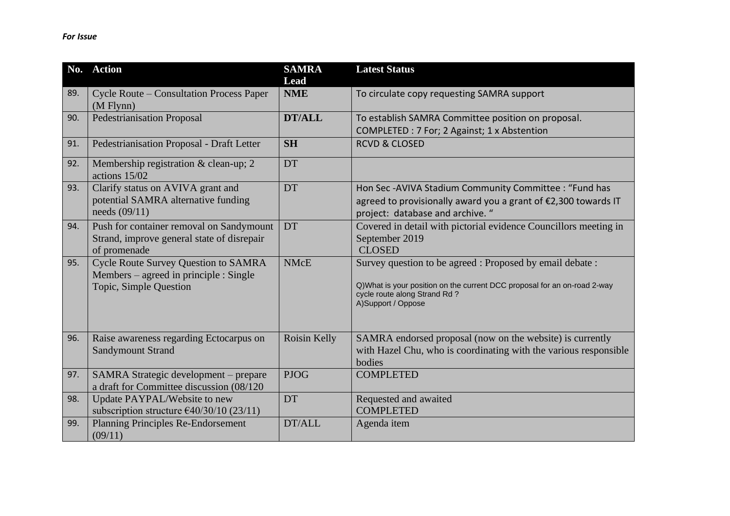|     | No. Action                                                                                                      | <b>SAMRA</b><br>Lead | <b>Latest Status</b>                                                                                                                                                                        |
|-----|-----------------------------------------------------------------------------------------------------------------|----------------------|---------------------------------------------------------------------------------------------------------------------------------------------------------------------------------------------|
| 89. | <b>Cycle Route – Consultation Process Paper</b><br>$(M$ Flynn $)$                                               | <b>NME</b>           | To circulate copy requesting SAMRA support                                                                                                                                                  |
| 90. | <b>Pedestrianisation Proposal</b>                                                                               | <b>DT/ALL</b>        | To establish SAMRA Committee position on proposal.<br>COMPLETED : 7 For; 2 Against; 1 x Abstention                                                                                          |
| 91. | <b>Pedestrianisation Proposal - Draft Letter</b>                                                                | <b>SH</b>            | <b>RCVD &amp; CLOSED</b>                                                                                                                                                                    |
| 92. | Membership registration & clean-up; 2<br>actions 15/02                                                          | <b>DT</b>            |                                                                                                                                                                                             |
| 93. | Clarify status on AVIVA grant and<br>potential SAMRA alternative funding<br>needs $(09/11)$                     | <b>DT</b>            | Hon Sec-AVIVA Stadium Community Committee : "Fund has<br>agreed to provisionally award you a grant of €2,300 towards IT<br>project: database and archive. "                                 |
| 94. | Push for container removal on Sandymount<br>Strand, improve general state of disrepair<br>of promenade          | DT                   | Covered in detail with pictorial evidence Councillors meeting in<br>September 2019<br><b>CLOSED</b>                                                                                         |
| 95. | <b>Cycle Route Survey Question to SAMRA</b><br>Members – agreed in principle : Single<br>Topic, Simple Question | <b>NMcE</b>          | Survey question to be agreed : Proposed by email debate :<br>Q)What is your position on the current DCC proposal for an on-road 2-way<br>cycle route along Strand Rd?<br>A)Support / Oppose |
| 96. | Raise awareness regarding Ectocarpus on<br><b>Sandymount Strand</b>                                             | Roisin Kelly         | SAMRA endorsed proposal (now on the website) is currently<br>with Hazel Chu, who is coordinating with the various responsible<br>bodies                                                     |
| 97. | SAMRA Strategic development - prepare<br>a draft for Committee discussion (08/120)                              | <b>PJOG</b>          | <b>COMPLETED</b>                                                                                                                                                                            |
| 98. | Update PAYPAL/Website to new<br>subscription structure $\epsilon$ 40/30/10 (23/11)                              | <b>DT</b>            | Requested and awaited<br><b>COMPLETED</b>                                                                                                                                                   |
| 99. | <b>Planning Principles Re-Endorsement</b><br>(09/11)                                                            | DT/ALL               | Agenda item                                                                                                                                                                                 |